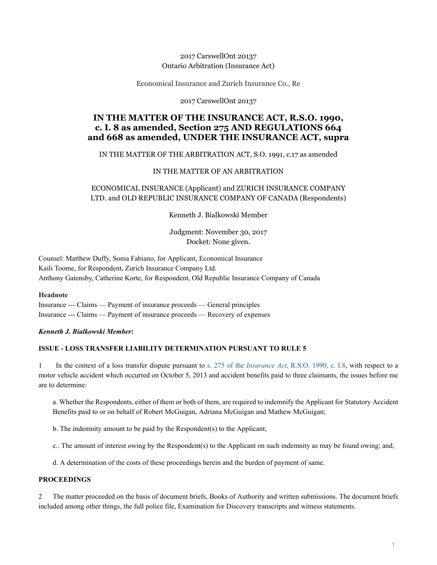## 2017 CarswellOnt 20137 Ontario Arbitration (Insurance Act)

Economical Insurance and Zurich Insurance Co., Re

#### 2017 CarswellOnt 20137

# **IN THE MATTER OF THE INSURANCE ACT, R.S.O. 1990, c. I. 8 as amended, Section 275 AND REGULATIONS 664 and 668 as amended, UNDER THE INSURANCE ACT, supra**

## IN THE MATTER OF THE ARBITRATION ACT, S.O. 1991, c.17 as amended

### IN THE MATTER OF AN ARBITRATION

## ECONOMICAL INSURANCE (Applicant) and ZURICH INSURANCE COMPANY LTD. and OLD REPUBLIC INSURANCE COMPANY OF CANADA (Respondents)

Kenneth J. Bialkowski Member

Judgment: November 30, 2017 Docket: None given.

Counsel: Matthew Duffy, Sonia Fabiano, for Applicant, Economical Insurance Kaili Toome, for Respondent, Zurich Insurance Company Ltd. Anthony Gatensby, Catherine Korte, for Respondent, Old Republic Insurance Company of Canada

### **Headnote**

Insurance --- Claims — Payment of insurance proceeds — General principles Insurance --- Claims — Payment of insurance proceeds — Recovery of expenses

### *Kenneth J. Bialkowski Member***:**

### **ISSUE - LOSS TRANSFER LIABILITY DETERMINATION PURSUANT TO RULE 5**

1 In the context of a loss transfer dispute pursuant to s. 275 of the *Insurance Act*[, R.S.O. 1990, c. I.8](http://nextcanada.westlaw.com/Link/Document/FullText?findType=Y&serNum=0280541454&pubNum=135313&originatingDoc=I60baee0665400c04e0540021280d7cce&refType=IG&docFamilyGuid=Ib77a5743f46611d99f28ffa0ae8c2575&targetPreference=DocLanguage%3aEN&originationContext=document&vr=3.0&rs=cblt1.0&transitionType=DocumentItem&contextData=(sc.Search)), with respect to a motor vehicle accident which occurred on October 5, 2013 and accident benefits paid to three claimants, the issues before me are to determine:

a. Whether the Respondents, either of them or both of them, are required to indemnify the Applicant for Statutory Accident Benefits paid to or on behalf of Robert McGuigan, Adriana McGuigan and Mathew McGuigan;

b. The indemnity amount to be paid by the Respondent(s) to the Applicant;

c.. The amount of interest owing by the Respondent(s) to the Applicant on such indemnity as may be found owing; and,

d. A determination of the costs of these proceedings herein and the burden of payment of same.

### **PROCEEDINGS**

2 The matter proceeded on the basis of document briefs, Books of Authority and written submissions. The document briefs included among other things, the full police file, Examination for Discovery transcripts and witness statements.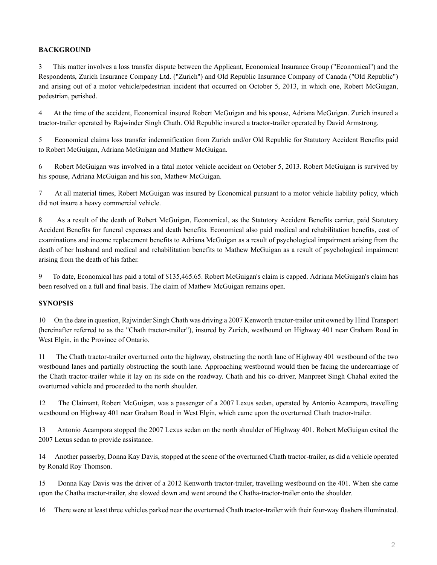## **BACKGROUND**

3 This matter involves a loss transfer dispute between the Applicant, Economical Insurance Group ("Economical") and the Respondents, Zurich Insurance Company Ltd. ("Zurich") and Old Republic Insurance Company of Canada ("Old Republic") and arising out of a motor vehicle/pedestrian incident that occurred on October 5, 2013, in which one, Robert McGuigan, pedestrian, perished.

4 At the time of the accident, Economical insured Robert McGuigan and his spouse, Adriana McGuigan. Zurich insured a tractor-trailer operated by Rajwinder Singh Chath. Old Republic insured a tractor-trailer operated by David Armstrong.

5 Economical claims loss transfer indemnification from Zurich and/or Old Republic for Statutory Accident Benefits paid to Robert McGuigan, Adriana McGuigan and Mathew McGuigan.

6 Robert McGuigan was involved in a fatal motor vehicle accident on October 5, 2013. Robert McGuigan is survived by his spouse, Adriana McGuigan and his son, Mathew McGuigan.

7 At all material times, Robert McGuigan was insured by Economical pursuant to a motor vehicle liability policy, which did not insure a heavy commercial vehicle.

8 As a result of the death of Robert McGuigan, Economical, as the Statutory Accident Benefits carrier, paid Statutory Accident Benefits for funeral expenses and death benefits. Economical also paid medical and rehabilitation benefits, cost of examinations and income replacement benefits to Adriana McGuigan as a result of psychological impairment arising from the death of her husband and medical and rehabilitation benefits to Mathew McGuigan as a result of psychological impairment arising from the death of his father.

9 To date, Economical has paid a total of \$135,465.65. Robert McGuigan's claim is capped. Adriana McGuigan's claim has been resolved on a full and final basis. The claim of Mathew McGuigan remains open.

### **SYNOPSIS**

10 On the date in question, Rajwinder Singh Chath was driving a 2007 Kenworth tractor-trailer unit owned by Hind Transport (hereinafter referred to as the "Chath tractor-trailer"), insured by Zurich, westbound on Highway 401 near Graham Road in West Elgin, in the Province of Ontario.

11 The Chath tractor-trailer overturned onto the highway, obstructing the north lane of Highway 401 westbound of the two westbound lanes and partially obstructing the south lane. Approaching westbound would then be facing the undercarriage of the Chath tractor-trailer while it lay on its side on the roadway. Chath and his co-driver, Manpreet Singh Chahal exited the overturned vehicle and proceeded to the north shoulder.

12 The Claimant, Robert McGuigan, was a passenger of a 2007 Lexus sedan, operated by Antonio Acampora, travelling westbound on Highway 401 near Graham Road in West Elgin, which came upon the overturned Chath tractor-trailer.

13 Antonio Acampora stopped the 2007 Lexus sedan on the north shoulder of Highway 401. Robert McGuigan exited the 2007 Lexus sedan to provide assistance.

14 Another passerby, Donna Kay Davis, stopped at the scene of the overturned Chath tractor-trailer, as did a vehicle operated by Ronald Roy Thomson.

15 Donna Kay Davis was the driver of a 2012 Kenworth tractor-trailer, travelling westbound on the 401. When she came upon the Chatha tractor-trailer, she slowed down and went around the Chatha-tractor-trailer onto the shoulder.

16 There were at least three vehicles parked near the overturned Chath tractor-trailer with their four-way flashers illuminated.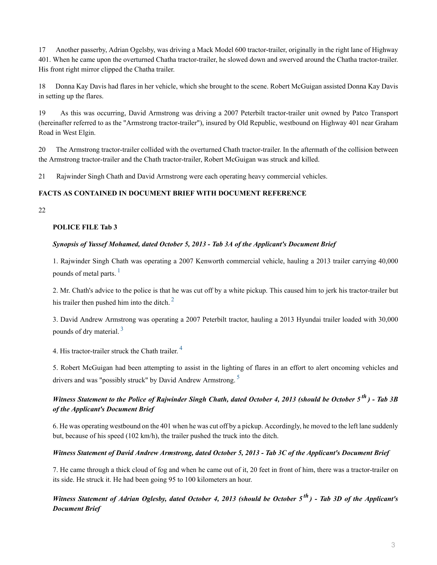17 Another passerby, Adrian Ogelsby, was driving a Mack Model 600 tractor-trailer, originally in the right lane of Highway 401. When he came upon the overturned Chatha tractor-trailer, he slowed down and swerved around the Chatha tractor-trailer. His front right mirror clipped the Chatha trailer.

18 Donna Kay Davis had flares in her vehicle, which she brought to the scene. Robert McGuigan assisted Donna Kay Davis in setting up the flares.

19 As this was occurring, David Armstrong was driving a 2007 Peterbilt tractor-trailer unit owned by Patco Transport (hereinafter referred to as the "Armstrong tractor-trailer"), insured by Old Republic, westbound on Highway 401 near Graham Road in West Elgin.

20 The Armstrong tractor-trailer collided with the overturned Chath tractor-trailer. In the aftermath of the collision between the Armstrong tractor-trailer and the Chath tractor-trailer, Robert McGuigan was struck and killed.

21 Rajwinder Singh Chath and David Armstrong were each operating heavy commercial vehicles.

## **FACTS AS CONTAINED IN DOCUMENT BRIEF WITH DOCUMENT REFERENCE**

22

## **POLICE FILE Tab 3**

## *Synopsis of Yussef Mohamed, dated October 5, 2013 - Tab 3A of the Applicant's Document Brief*

<span id="page-2-0"></span>1. Rajwinder Singh Chath was operating a 2007 Kenworth commercial vehicle, hauling a 2013 trailer carrying 40,000 pounds of metal parts.  $\frac{1}{1}$  $\frac{1}{1}$  $\frac{1}{1}$ 

<span id="page-2-1"></span>2. Mr. Chath's advice to the police is that he was cut off by a white pickup. This caused him to jerk his tractor-trailer but his trailer then pushed him into the ditch. $<sup>2</sup>$  $<sup>2</sup>$  $<sup>2</sup>$ </sup>

<span id="page-2-2"></span>3. David Andrew Armstrong was operating a 2007 Peterbilt tractor, hauling a 2013 Hyundai trailer loaded with 30,000 pounds of dry material. [3](#page-15-2)

<span id="page-2-3"></span>[4](#page-15-3). His tractor-trailer struck the Chath trailer.  $4\overline{ }$ 

<span id="page-2-4"></span>5. Robert McGuigan had been attempting to assist in the lighting of flares in an effort to alert oncoming vehicles and drivers and was "possibly struck" by David Andrew Armstrong.<sup>[5](#page-15-4)</sup>

# *Witness Statement to the Police of Rajwinder Singh Chath, dated October 4, 2013 (should be October 5 th ) - Tab 3B of the Applicant's Document Brief*

6. He was operating westbound on the 401 when he was cut off by a pickup. Accordingly, he moved to the left lane suddenly but, because of his speed (102 km/h), the trailer pushed the truck into the ditch.

### *Witness Statement of David Andrew Armstrong, dated October 5, 2013 - Tab 3C of the Applicant's Document Brief*

7. He came through a thick cloud of fog and when he came out of it, 20 feet in front of him, there was a tractor-trailer on its side. He struck it. He had been going 95 to 100 kilometers an hour.

*Witness Statement of Adrian Oglesby, dated October 4, 2013 (should be October 5 th ) - Tab 3D of the Applicant's Document Brief*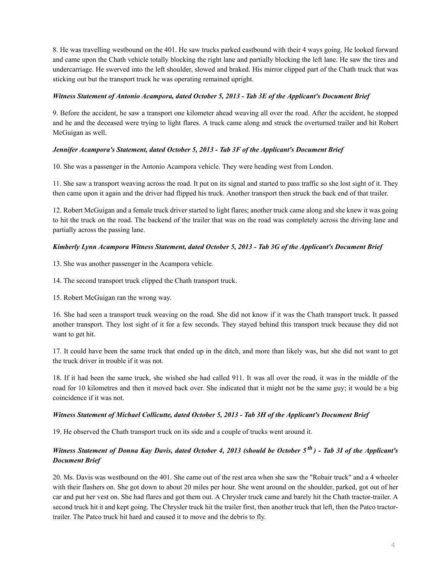8. He was travelling westbound on the 401. He saw trucks parked eastbound with their 4 ways going. He looked forward and came upon the Chath vehicle totally blocking the right lane and partially blocking the left lane. He saw the tires and undercarriage. He swerved into the left shoulder, slowed and braked. His mirror clipped part of the Chath truck that was sticking out but the transport truck he was operating remained upright.

#### *Witness Statement of Antonio Acampora, dated October 5, 2013 - Tab 3E of the Applicant's Document Brief*

9. Before the accident, he saw a transport one kilometer ahead weaving all over the road. After the accident, he stopped and he and the deceased were trying to light flares. A truck came along and struck the overturned trailer and hit Robert McGuigan as well.

### *Jennifer Acampora's Statement, dated October 5, 2013 - Tab 3F of the Applicant's Document Brief*

10. She was a passenger in the Antonio Acampora vehicle. They were heading west from London.

11. She saw a transport weaving across the road. It put on its signal and started to pass traffic so she lost sight of it. They then came upon it again and the driver had flipped his truck. Another transport then struck the back end of that trailer.

12. Robert McGuigan and a female truck driver started to light flares; another truck came along and she knew it was going to hit the truck on the road. The backend of the trailer that was on the road was completely across the driving lane and partially across the passing lane.

## *Kimberly Lynn Acampora Witness Statement, dated October 5, 2013 - Tab 3G of the Applicant's Document Brief*

13. She was another passenger in the Acampora vehicle.

14. The second transport truck clipped the Chath transport truck.

15. Robert McGuigan ran the wrong way.

16. She had seen a transport truck weaving on the road. She did not know if it was the Chath transport truck. It passed another transport. They lost sight of it for a few seconds. They stayed behind this transport truck because they did not want to get hit.

17. It could have been the same truck that ended up in the ditch, and more than likely was, but she did not want to get the truck driver in trouble if it was not.

18. If it had been the same truck, she wished she had called 911. It was all over the road, it was in the middle of the road for 10 kilometres and then it moved back over. She indicated that it might not be the same guy; it would be a big coincidence if it was not.

### *Witness Statement of Michael Collicutte, dated October 5, 2013 - Tab 3H of the Applicant's Document Brief*

19. He observed the Chath transport truck on its side and a couple of trucks went around it.

# *Witness Statement of Donna Kay Davis, dated October 4, 2013 (should be October 5 th ) - Tab 3I of the Applicant's Document Brief*

20. Ms. Davis was westbound on the 401. She came out of the rest area when she saw the "Robair truck" and a 4 wheeler with their flashers on. She got down to about 20 miles per hour. She went around on the shoulder, parked, got out of her car and put her vest on. She had flares and got them out. A Chrysler truck came and barely hit the Chath tractor-trailer. A second truck hit it and kept going. The Chrysler truck hit the trailer first, then another truck that left, then the Patco tractortrailer. The Patco truck hit hard and caused it to move and the debris to fly.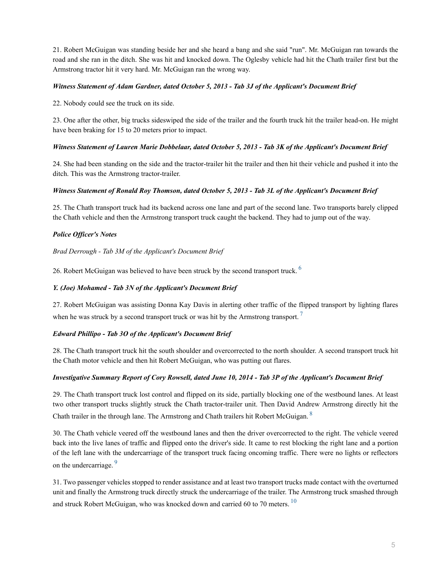21. Robert McGuigan was standing beside her and she heard a bang and she said "run". Mr. McGuigan ran towards the road and she ran in the ditch. She was hit and knocked down. The Oglesby vehicle had hit the Chath trailer first but the Armstrong tractor hit it very hard. Mr. McGuigan ran the wrong way.

### *Witness Statement of Adam Gardner, dated October 5, 2013 - Tab 3J of the Applicant's Document Brief*

22. Nobody could see the truck on its side.

23. One after the other, big trucks sideswiped the side of the trailer and the fourth truck hit the trailer head-on. He might have been braking for 15 to 20 meters prior to impact.

## *Witness Statement of Lauren Marie Dobbelaar, dated October 5, 2013 - Tab 3K of the Applicant's Document Brief*

24. She had been standing on the side and the tractor-trailer hit the trailer and then hit their vehicle and pushed it into the ditch. This was the Armstrong tractor-trailer.

### *Witness Statement of Ronald Roy Thomson, dated October 5, 2013 - Tab 3L of the Applicant's Document Brief*

25. The Chath transport truck had its backend across one lane and part of the second lane. Two transports barely clipped the Chath vehicle and then the Armstrong transport truck caught the backend. They had to jump out of the way.

## *Police Officer's Notes*

*Brad Derrough - Tab 3M of the Applicant's Document Brief*

<span id="page-4-0"></span>2[6](#page-15-5). Robert McGuigan was believed to have been struck by the second transport truck.<sup>6</sup>

### *Y. (Joe) Mohamed - Tab 3N of the Applicant's Document Brief*

<span id="page-4-1"></span>27. Robert McGuigan was assisting Donna Kay Davis in alerting other traffic of the flipped transport by lighting flares when he was struck by a second transport truck or was hit by the Armstrong transport.<sup>[7](#page-15-6)</sup>

### *Edward Phillipo - Tab 3O of the Applicant's Document Brief*

28. The Chath transport truck hit the south shoulder and overcorrected to the north shoulder. A second transport truck hit the Chath motor vehicle and then hit Robert McGuigan, who was putting out flares.

### *Investigative Summary Report of Cory Rowsell, dated June 10, 2014 - Tab 3P of the Applicant's Document Brief*

<span id="page-4-2"></span>29. The Chath transport truck lost control and flipped on its side, partially blocking one of the westbound lanes. At least two other transport trucks slightly struck the Chath tractor-trailer unit. Then David Andrew Armstrong directly hit the Chath trailer in the through lane. The Armstrong and Chath trailers hit Robert McGuigan. <sup>[8](#page-15-7)</sup>

30. The Chath vehicle veered off the westbound lanes and then the driver overcorrected to the right. The vehicle veered back into the live lanes of traffic and flipped onto the driver's side. It came to rest blocking the right lane and a portion of the left lane with the undercarriage of the transport truck facing oncoming traffic. There were no lights or reflectors on the undercarriage. [9](#page-15-8)

<span id="page-4-4"></span><span id="page-4-3"></span>31. Two passenger vehicles stopped to render assistance and at least two transport trucks made contact with the overturned unit and finally the Armstrong truck directly struck the undercarriage of the trailer. The Armstrong truck smashed through and struck Robert McGuigan, who was knocked down and carried 60 to 70 meters.  $10$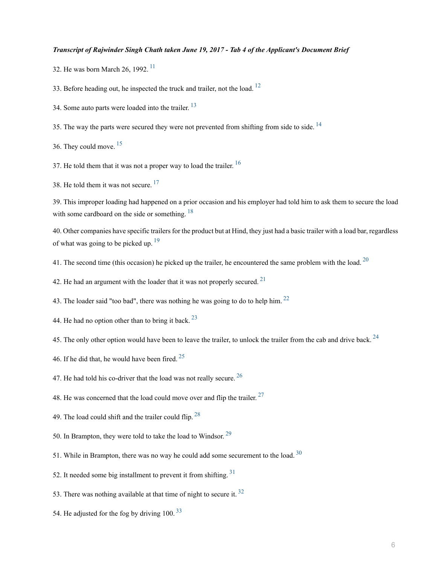#### *Transcript of Rajwinder Singh Chath taken June 19, 2017 - Tab 4 of the Applicant's Document Brief*

<span id="page-5-0"></span>32. He was born March 26, 1992.<sup>[11](#page-15-10)</sup>

<span id="page-5-1"></span>33. Before heading out, he inspected the truck and trailer, not the load.  $^{12}$  $^{12}$  $^{12}$ 

<span id="page-5-2"></span>34. Some auto parts were loaded into the trailer.  $^{13}$  $^{13}$  $^{13}$ 

<span id="page-5-3"></span>35. The way the parts were secured they were not prevented from shifting from side to side.  $14$ 

<span id="page-5-4"></span>36. They could move. [15](#page-16-3)

<span id="page-5-5"></span>37. He told them that it was not a proper way to load the trailer.  $16$ 

<span id="page-5-6"></span>38. He told them it was not secure. <sup>[17](#page-16-5)</sup>

<span id="page-5-7"></span>39. This improper loading had happened on a prior occasion and his employer had told him to ask them to secure the load with some cardboard on the side or something.  $18$ 

<span id="page-5-8"></span>40. Other companies have specific trailers for the product but at Hind, they just had a basic trailer with a load bar, regardless of what was going to be picked up.  $19$ 

<span id="page-5-9"></span>41. The second time (this occasion) he picked up the trailer, he encountered the same problem with the load.  $20$ 

<span id="page-5-10"></span>42. He had an argument with the loader that it was not properly secured.  $2<sup>1</sup>$ 

<span id="page-5-11"></span>43. The loader said "too bad", there was nothing he was going to do to help him.  $22$ 

<span id="page-5-12"></span>44. He had no option other than to bring it back.  $23$ 

<span id="page-5-13"></span>45. The only other option would have been to leave the trailer, to unlock the trailer from the cab and drive back.  $24$ 

<span id="page-5-14"></span>46. If he did that, he would have been fired.  $25$ 

<span id="page-5-15"></span>47. He had told his co-driver that the load was not really secure.  $26$ 

<span id="page-5-16"></span>48. He was concerned that the load could move over and flip the trailer.  $27$ 

<span id="page-5-17"></span>49. The load could shift and the trailer could flip.  $28$ 

<span id="page-5-18"></span>50. In Brampton, they were told to take the load to Windsor.<sup>[29](#page-16-17)</sup>

<span id="page-5-19"></span>51. While in Brampton, there was no way he could add some securement to the load.  $30$ 

<span id="page-5-20"></span>52. It needed some big installment to prevent it from shifting.  $31$ 

<span id="page-5-21"></span>53. There was nothing available at that time of night to secure it.  $32$ 

<span id="page-5-22"></span>54. He adjusted for the fog by driving  $100^{33}$  $100^{33}$  $100^{33}$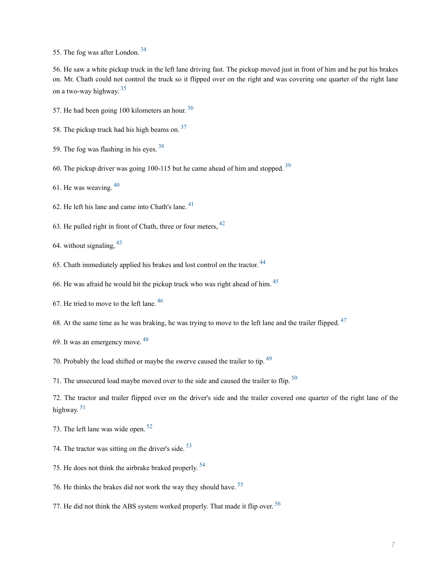<span id="page-6-0"></span>55. The fog was after London. [34](#page-16-22)

<span id="page-6-1"></span>56. He saw a white pickup truck in the left lane driving fast. The pickup moved just in front of him and he put his brakes on. Mr. Chath could not control the truck so it flipped over on the right and was covering one quarter of the right lane on a two-way highway. [35](#page-16-23)

- <span id="page-6-2"></span>57. He had been going 100 kilometers an hour. [36](#page-16-24)
- <span id="page-6-3"></span>58. The pickup truck had his high beams on. [37](#page-16-25)
- <span id="page-6-4"></span>59. The fog was flashing in his eyes. [38](#page-16-26)
- <span id="page-6-5"></span>60. The pickup driver was going 100-115 but he came ahead of him and stopped.  $39$

<span id="page-6-6"></span>61. He was weaving.  $40$ 

- <span id="page-6-7"></span>62. He left his lane and came into Chath's lane.  $41$
- <span id="page-6-8"></span>63. He pulled right in front of Chath, three or four meters.  $42$

<span id="page-6-9"></span>64. without signaling,  $43$ 

- <span id="page-6-10"></span>65. Chath immediately applied his brakes and lost control on the tractor. [44](#page-17-4)
- <span id="page-6-11"></span>66. He was afraid he would hit the pickup truck who was right ahead of him. [45](#page-17-5)

<span id="page-6-12"></span>67. He tried to move to the left lane. [46](#page-17-6)

- <span id="page-6-13"></span>68. At the same time as he was braking, he was trying to move to the left lane and the trailer flipped.  $47$
- <span id="page-6-14"></span>69. It was an emergency move. [48](#page-17-8)
- <span id="page-6-15"></span>70. Probably the load shifted or maybe the swerve caused the trailer to tip. <sup>[49](#page-17-9)</sup>

<span id="page-6-16"></span>71. The unsecured load maybe moved over to the side and caused the trailer to flip. <sup>[50](#page-17-10)</sup>

<span id="page-6-17"></span>72. The tractor and trailer flipped over on the driver's side and the trailer covered one quarter of the right lane of the highway.  $51$ 

- <span id="page-6-18"></span>73. The left lane was wide open. [52](#page-17-12)
- <span id="page-6-19"></span>74. The tractor was sitting on the driver's side. [53](#page-17-13)
- <span id="page-6-20"></span>75. He does not think the airbrake braked properly. [54](#page-17-14)
- <span id="page-6-21"></span>76. He thinks the brakes did not work the way they should have. [55](#page-17-15)
- <span id="page-6-22"></span>77. He did not think the ABS system worked properly. That made it flip over. <sup>[56](#page-17-16)</sup>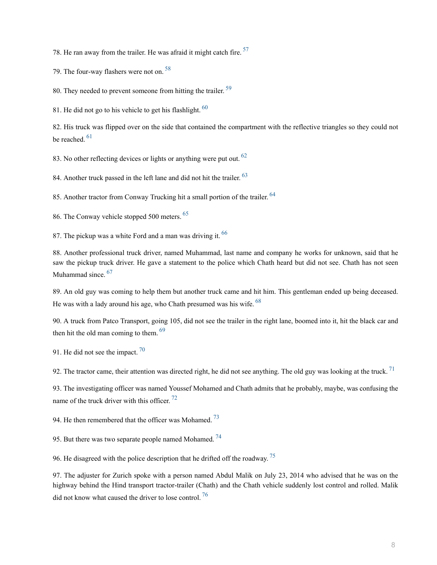<span id="page-7-0"></span>78. He ran away from the trailer. He was afraid it might catch fire. <sup>[57](#page-17-17)</sup>

<span id="page-7-1"></span>79. The four-way flashers were not on. [58](#page-17-18)

<span id="page-7-2"></span>80. They needed to prevent someone from hitting the trailer.<sup>[59](#page-17-19)</sup>

<span id="page-7-3"></span>81. He did not go to his vehicle to get his flashlight. <sup>[60](#page-17-20)</sup>

<span id="page-7-4"></span>82. His truck was flipped over on the side that contained the compartment with the reflective triangles so they could not be reached  $61$ 

<span id="page-7-5"></span>83. No other reflecting devices or lights or anything were put out. <sup>[62](#page-17-22)</sup>

<span id="page-7-6"></span>84. Another truck passed in the left lane and did not hit the trailer. <sup>[63](#page-17-23)</sup>

<span id="page-7-7"></span>85. Another tractor from Conway Trucking hit a small portion of the trailer. <sup>[64](#page-17-24)</sup>

<span id="page-7-8"></span>86. The Conway vehicle stopped 500 meters. [65](#page-17-25)

<span id="page-7-9"></span>87. The pickup was a white Ford and a man was driving it. <sup>[66](#page-17-26)</sup>

<span id="page-7-10"></span>88. Another professional truck driver, named Muhammad, last name and company he works for unknown, said that he saw the pickup truck driver. He gave a statement to the police which Chath heard but did not see. Chath has not seen Muhammad since.<sup>[67](#page-17-27)</sup>

<span id="page-7-11"></span>89. An old guy was coming to help them but another truck came and hit him. This gentleman ended up being deceased. He was with a lady around his age, who Chath presumed was his wife.  $68$ 

<span id="page-7-12"></span>90. A truck from Patco Transport, going 105, did not see the trailer in the right lane, boomed into it, hit the black car and then hit the old man coming to them. <sup>[69](#page-18-1)</sup>

<span id="page-7-13"></span>91. He did not see the impact.  $70$ 

<span id="page-7-14"></span>92. The tractor came, their attention was directed right, he did not see anything. The old guy was looking at the truck.  $71$ 

<span id="page-7-15"></span>93. The investigating officer was named Youssef Mohamed and Chath admits that he probably, maybe, was confusing the name of the truck driver with this officer.  $72$ 

<span id="page-7-16"></span>94. He then remembered that the officer was Mohamed.  $^{73}$  $^{73}$  $^{73}$ 

<span id="page-7-17"></span>95. But there was two separate people named Mohamed.<sup>[74](#page-18-6)</sup>

<span id="page-7-18"></span>96. He disagreed with the police description that he drifted off the roadway.<sup>[75](#page-18-7)</sup>

<span id="page-7-19"></span>97. The adjuster for Zurich spoke with a person named Abdul Malik on July 23, 2014 who advised that he was on the highway behind the Hind transport tractor-trailer (Chath) and the Chath vehicle suddenly lost control and rolled. Malik did not know what caused the driver to lose control.  $76$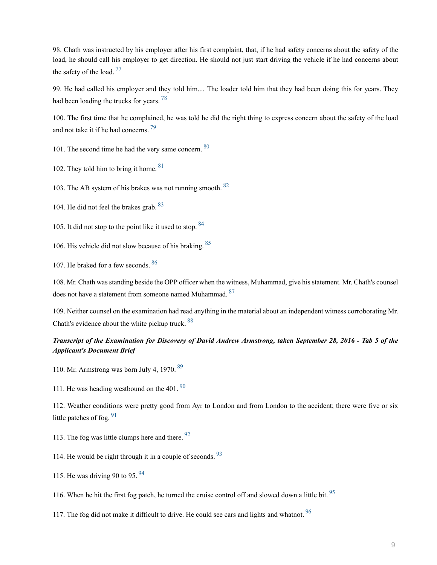<span id="page-8-0"></span>98. Chath was instructed by his employer after his first complaint, that, if he had safety concerns about the safety of the load, he should call his employer to get direction. He should not just start driving the vehicle if he had concerns about the safety of the load.  $77$ 

<span id="page-8-1"></span>99. He had called his employer and they told him.... The loader told him that they had been doing this for years. They had been loading the trucks for years.<sup>[78](#page-18-10)</sup>

<span id="page-8-2"></span>100. The first time that he complained, he was told he did the right thing to express concern about the safety of the load and not take it if he had concerns. [79](#page-18-11)

<span id="page-8-3"></span>101. The second time he had the very same concern. <sup>[80](#page-18-12)</sup>

<span id="page-8-4"></span>102. They told him to bring it home. [81](#page-18-13)

<span id="page-8-5"></span>103. The AB system of his brakes was not running smooth. [82](#page-18-14)

<span id="page-8-6"></span>104. He did not feel the brakes grab. [83](#page-18-15)

<span id="page-8-7"></span>105. It did not stop to the point like it used to stop.  $84$ 

<span id="page-8-8"></span>106. His vehicle did not slow because of his braking. [85](#page-18-17)

<span id="page-8-9"></span>107. He braked for a few seconds. [86](#page-18-18)

<span id="page-8-10"></span>108. Mr. Chath was standing beside the OPP officer when the witness, Muhammad, give his statement. Mr. Chath's counsel does not have a statement from someone named Muhammad. <sup>[87](#page-18-19)</sup>

<span id="page-8-11"></span>109. Neither counsel on the examination had read anything in the material about an independent witness corroborating Mr. Chath's evidence about the white pickup truck. [88](#page-18-20)

## *Transcript of the Examination for Discovery of David Andrew Armstrong, taken September 28, 2016 - Tab 5 of the Applicant's Document Brief*

<span id="page-8-12"></span>110. Mr. Armstrong was born July 4, 1970. [89](#page-18-21)

<span id="page-8-13"></span>111. He was heading westbound on the 401.  $90$ 

<span id="page-8-14"></span>112. Weather conditions were pretty good from Ayr to London and from London to the accident; there were five or six little patches of fog.  $91$ 

<span id="page-8-15"></span>113. The fog was little clumps here and there.  $92$ 

<span id="page-8-16"></span>114. He would be right through it in a couple of seconds.  $93$ 

<span id="page-8-17"></span>115. He was driving 90 to 95.  $94$ 

<span id="page-8-18"></span>116. When he hit the first fog patch, he turned the cruise control off and slowed down a little bit. <sup>[95](#page-18-27)</sup>

<span id="page-8-19"></span>117. The fog did not make it difficult to drive. He could see cars and lights and whatnot.  $96$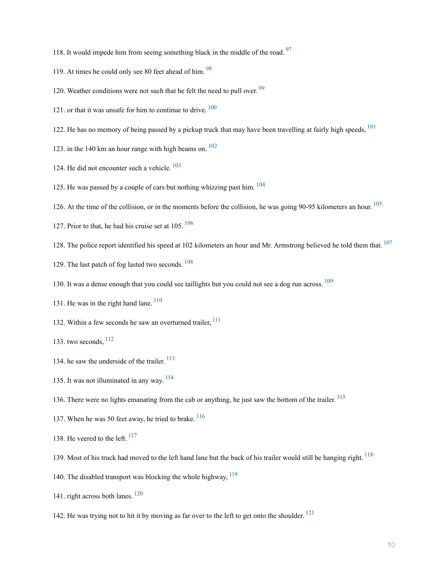- <span id="page-9-0"></span>118. It would impede him from seeing something black in the middle of the road.  $97$
- <span id="page-9-1"></span>119. At times he could only see 80 feet ahead of him. <sup>[98](#page-19-2)</sup>
- <span id="page-9-2"></span>120. Weather conditions were not such that he felt the need to pull over. <sup>[99](#page-19-3)</sup>
- <span id="page-9-3"></span>121. or that it was unsafe for him to continue to drive.  $100$
- <span id="page-9-4"></span>122. He has no memory of being passed by a pickup truck that may have been travelling at fairly high speeds,  $101$
- <span id="page-9-5"></span>123. in the 140 km an hour range with high beams on.  $102$
- <span id="page-9-6"></span>124. He did not encounter such a vehicle.  $103$
- <span id="page-9-7"></span>125. He was passed by a couple of cars but nothing whizzing past him. [104](#page-19-8)
- <span id="page-9-8"></span>126. At the time of the collision, or in the moments before the collision, he was going 90-95 kilometers an hour. <sup>[105](#page-19-9)</sup>
- <span id="page-9-9"></span>127. Prior to that, he had his cruise set at  $105.$   $106$
- <span id="page-9-10"></span>128. The police report identified his speed at 102 kilometers an hour and Mr. Armstrong believed he told them that. <sup>[107](#page-19-11)</sup>
- <span id="page-9-11"></span>129. The last patch of fog lasted two seconds. <sup>[108](#page-19-12)</sup>
- <span id="page-9-12"></span>130. It was a dense enough that you could see taillights but you could not see a dog run across. <sup>[109](#page-19-13)</sup>
- <span id="page-9-13"></span>131. He was in the right hand lane.  $110$
- <span id="page-9-14"></span>132. Within a few seconds he saw an overturned trailer. <sup>[111](#page-19-15)</sup>
- <span id="page-9-15"></span>133. two seconds, [112](#page-19-16)
- <span id="page-9-16"></span>134. he saw the underside of the trailer.  $^{113}$  $^{113}$  $^{113}$
- <span id="page-9-17"></span>135. It was not illuminated in any way.  $114$
- <span id="page-9-18"></span>136. There were no lights emanating from the cab or anything, he just saw the bottom of the trailer. <sup>[115](#page-19-19)</sup>
- <span id="page-9-19"></span>137. When he was 50 feet away, he tried to brake.  $116$
- <span id="page-9-20"></span>138. He veered to the left.  $117$
- <span id="page-9-21"></span>139. Most of his truck had moved to the left hand lane but the back of his trailer would still be hanging right. <sup>[118](#page-19-22)</sup>
- <span id="page-9-22"></span>140. The disabled transport was blocking the whole highway,  $^{119}$  $^{119}$  $^{119}$
- <span id="page-9-23"></span>141. right across both lanes. [120](#page-19-24)
- <span id="page-9-24"></span>142. He was trying not to hit it by moving as far over to the left to get onto the shoulder.  $121$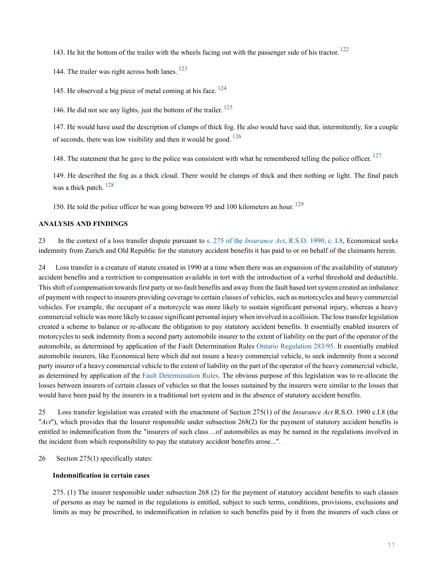<span id="page-10-0"></span>143. He hit the bottom of the trailer with the wheels facing out with the passenger side of his tractor. <sup>[122](#page-19-26)</sup>

<span id="page-10-1"></span>144. The trailer was right across both lanes. <sup>[123](#page-19-27)</sup>

<span id="page-10-2"></span>145. He observed a big piece of metal coming at his face. <sup>[124](#page-20-0)</sup>

<span id="page-10-3"></span>146. He did not see any lights, just the bottom of the trailer. [125](#page-20-1)

<span id="page-10-4"></span>147. He would have used the description of clumps of thick fog. He also would have said that, intermittently, for a couple of seconds, there was low visibility and then it would be good.  $126$ 

<span id="page-10-5"></span>148. The statement that he gave to the police was consistent with what he remembered telling the police officer. <sup>[127](#page-20-3)</sup>

<span id="page-10-6"></span>149. He described the fog as a thick cloud. There would be clumps of thick and then nothing or light. The final patch was a thick patch.  $128$ 

<span id="page-10-7"></span>150. He told the police officer he was going between 95 and 100 kilometers an hour. [129](#page-20-5)

### **ANALYSIS AND FINDINGS**

23 In the context of a loss transfer dispute pursuant to s. 275 of the *Insurance Act*[, R.S.O. 1990, c. I.8](http://nextcanada.westlaw.com/Link/Document/FullText?findType=Y&serNum=0280541454&pubNum=135313&originatingDoc=I60baee0665400c04e0540021280d7cce&refType=IG&docFamilyGuid=Ib77a5743f46611d99f28ffa0ae8c2575&targetPreference=DocLanguage%3aEN&originationContext=document&vr=3.0&rs=cblt1.0&transitionType=DocumentItem&contextData=(sc.Search)), Economical seeks indemnity from Zurich and Old Republic for the statutory accident benefits it has paid to or on behalf of the claimants herein.

24 Loss transfer is a creature of statute created in 1990 at a time when there was an expansion of the availability of statutory accident benefits and a restriction to compensation available in tort with the introduction of a verbal threshold and deductible. This shift of compensation towards first party or no-fault benefits and away from the fault based tort system created an imbalance of payment with respect to insurers providing coverage to certain classes of vehicles, such as motorcycles and heavy commercial vehicles. For example, the occupant of a motorcycle was more likely to sustain significant personal injury, whereas a heavy commercial vehicle was more likely to cause significant personal injury when involved in a collision. The loss transfer legislation created a scheme to balance or re-allocate the obligation to pay statutory accident benefits. It essentially enabled insurers of motorcycles to seek indemnity from a second party automobile insurer to the extent of liability on the part of the operator of the automobile, as determined by application of the Fault Determination Rules [Ontario Regulation 283/95](http://nextcanada.westlaw.com/Link/Document/FullText?findType=Y&serNum=0302663601&pubNum=0135386&originatingDoc=I60baee0665400c04e0540021280d7cce&refType=IG&docFamilyGuid=Idac0da57f8f811d99f28ffa0ae8c2575&targetPreference=DocLanguage%3aEN&originationContext=document&vr=3.0&rs=cblt1.0&transitionType=DocumentItem&contextData=(sc.Search)). It essentially enabled automobile insurers, like Economical here which did not insure a heavy commercial vehicle, to seek indemnity from a second party insurer of a heavy commercial vehicle to the extent of liability on the part of the operator of the heavy commercial vehicle, as determined by application of the [Fault Determination Rules](http://nextcanada.westlaw.com/Link/Document/FullText?findType=Y&serNum=0300791200&pubNum=135385&originatingDoc=I60baee0665400c04e0540021280d7cce&refType=IG&docFamilyGuid=Ifa824f8f2dda11e18b05fdf15589d8e8&targetPreference=DocLanguage%3aEN&originationContext=document&vr=3.0&rs=cblt1.0&transitionType=DocumentItem&contextData=(sc.Search)). The obvious purpose of this legislation was to re-allocate the losses between insurers of certain classes of vehicles so that the losses sustained by the insurers were similar to the losses that would have been paid by the insurers in a traditional tort system and in the absence of statutory accident benefits.

25 Loss transfer legislation was created with the enactment of Section 275(1) of the *Insurance Act* R.S.O. 1990 c.I.8 (the "*Act*"), which provides that the Insurer responsible under subsection 268(2) for the payment of statutory accident benefits is entitled to indemnification from the "insurers of such class ...of automobiles as may be named in the regulations involved in the incident from which responsibility to pay the statutory accident benefits arose...".

26 Section 275(1) specifically states:

#### **Indemnification in certain cases**

275. (1) The insurer responsible under subsection 268 (2) for the payment of statutory accident benefits to such classes of persons as may be named in the regulations is entitled, subject to such terms, conditions, provisions, exclusions and limits as may be prescribed, to indemnification in relation to such benefits paid by it from the insurers of such class or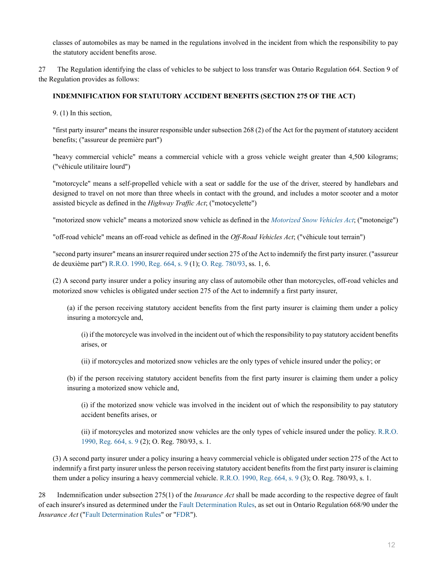classes of automobiles as may be named in the regulations involved in the incident from which the responsibility to pay the statutory accident benefits arose.

27 The Regulation identifying the class of vehicles to be subject to loss transfer was Ontario Regulation 664. Section 9 of the Regulation provides as follows:

## **INDEMNIFICATION FOR STATUTORY ACCIDENT BENEFITS (SECTION 275 OF THE ACT)**

9. (1) In this section,

"first party insurer" means the insurer responsible under subsection 268 (2) of the Act for the payment of statutory accident benefits; ("assureur de première part")

"heavy commercial vehicle" means a commercial vehicle with a gross vehicle weight greater than 4,500 kilograms; ("véhicule utilitaire lourd")

"motorcycle" means a self-propelled vehicle with a seat or saddle for the use of the driver, steered by handlebars and designed to travel on not more than three wheels in contact with the ground, and includes a motor scooter and a motor assisted bicycle as defined in the *Highway Traffic Act*; ("motocyclette")

"motorized snow vehicle" means a motorized snow vehicle as defined in the *[Motorized Snow Vehicles Act](http://nextcanada.westlaw.com/Link/Document/FullText?findType=Y&serNum=0280668895&pubNum=135313&originatingDoc=I60baee0665400c04e0540021280d7cce&refType=IG&docFamilyGuid=I61ebaae0f4db11d99f28ffa0ae8c2575&targetPreference=DocLanguage%3aEN&originationContext=document&vr=3.0&rs=cblt1.0&transitionType=DocumentItem&contextData=(sc.Search))*; ("motoneige")

"off-road vehicle" means an off-road vehicle as defined in the *Off-Road Vehicles Act*; ("véhicule tout terrain")

"second party insurer" means an insurer required under section 275 of the Act to indemnify the first party insurer. ("assureur de deuxième part") [R.R.O. 1990, Reg. 664, s. 9](http://nextcanada.westlaw.com/Link/Document/FullText?findType=Y&serNum=0302663558&pubNum=0135385&originatingDoc=I60baee0665400c04e0540021280d7cce&refType=IG&docFamilyGuid=Idac0da34f8f811d99f28ffa0ae8c2575&targetPreference=DocLanguage%3aEN&originationContext=document&vr=3.0&rs=cblt1.0&transitionType=DocumentItem&contextData=(sc.Search)) (1); [O. Reg. 780/93,](http://nextcanada.westlaw.com/Link/Document/FullText?findType=Y&serNum=0337819525&pubNum=0135386&originatingDoc=I60baee0665400c04e0540021280d7cce&refType=IG&docFamilyGuid=Ib36f44a32dfb11e18b05fdf15589d8e8&targetPreference=DocLanguage%3aEN&originationContext=document&vr=3.0&rs=cblt1.0&transitionType=DocumentItem&contextData=(sc.Search)) ss. 1, 6.

(2) A second party insurer under a policy insuring any class of automobile other than motorcycles, off-road vehicles and motorized snow vehicles is obligated under section 275 of the Act to indemnify a first party insurer,

(a) if the person receiving statutory accident benefits from the first party insurer is claiming them under a policy insuring a motorcycle and,

(i) if the motorcycle was involved in the incident out of which the responsibility to pay statutory accident benefits arises, or

(ii) if motorcycles and motorized snow vehicles are the only types of vehicle insured under the policy; or

(b) if the person receiving statutory accident benefits from the first party insurer is claiming them under a policy insuring a motorized snow vehicle and,

(i) if the motorized snow vehicle was involved in the incident out of which the responsibility to pay statutory accident benefits arises, or

(ii) if motorcycles and motorized snow vehicles are the only types of vehicle insured under the policy. [R.R.O.](http://nextcanada.westlaw.com/Link/Document/FullText?findType=Y&serNum=0302663558&pubNum=0135385&originatingDoc=I60baee0665400c04e0540021280d7cce&refType=IG&docFamilyGuid=Idac0da34f8f811d99f28ffa0ae8c2575&targetPreference=DocLanguage%3aEN&originationContext=document&vr=3.0&rs=cblt1.0&transitionType=DocumentItem&contextData=(sc.Search)) [1990, Reg. 664, s. 9](http://nextcanada.westlaw.com/Link/Document/FullText?findType=Y&serNum=0302663558&pubNum=0135385&originatingDoc=I60baee0665400c04e0540021280d7cce&refType=IG&docFamilyGuid=Idac0da34f8f811d99f28ffa0ae8c2575&targetPreference=DocLanguage%3aEN&originationContext=document&vr=3.0&rs=cblt1.0&transitionType=DocumentItem&contextData=(sc.Search)) (2); O. Reg. 780/93, s. 1.

(3) A second party insurer under a policy insuring a heavy commercial vehicle is obligated under section 275 of the Act to indemnify a first party insurer unless the person receiving statutory accident benefits from the first party insurer is claiming them under a policy insuring a heavy commercial vehicle. [R.R.O. 1990, Reg. 664, s. 9](http://nextcanada.westlaw.com/Link/Document/FullText?findType=Y&serNum=0302663558&pubNum=0135385&originatingDoc=I60baee0665400c04e0540021280d7cce&refType=IG&docFamilyGuid=Idac0da34f8f811d99f28ffa0ae8c2575&targetPreference=DocLanguage%3aEN&originationContext=document&vr=3.0&rs=cblt1.0&transitionType=DocumentItem&contextData=(sc.Search)) (3); O. Reg. 780/93, s. 1.

28 Indemnification under subsection 275(1) of the *Insurance Act* shall be made according to the respective degree of fault of each insurer's insured as determined under the [Fault Determination Rules,](http://nextcanada.westlaw.com/Link/Document/FullText?findType=Y&serNum=0300791200&pubNum=135385&originatingDoc=I60baee0665400c04e0540021280d7cce&refType=IG&docFamilyGuid=Ifa824f8f2dda11e18b05fdf15589d8e8&targetPreference=DocLanguage%3aEN&originationContext=document&vr=3.0&rs=cblt1.0&transitionType=DocumentItem&contextData=(sc.Search)) as set out in Ontario Regulation 668/90 under the *Insurance Act* ("[Fault Determination Rules"](http://nextcanada.westlaw.com/Link/Document/FullText?findType=Y&serNum=0300791200&pubNum=135385&originatingDoc=I60baee0665400c04e0540021280d7cce&refType=IG&docFamilyGuid=Ifa824f8f2dda11e18b05fdf15589d8e8&targetPreference=DocLanguage%3aEN&originationContext=document&vr=3.0&rs=cblt1.0&transitionType=DocumentItem&contextData=(sc.Search)) or ["FDR"](http://nextcanada.westlaw.com/Link/Document/FullText?findType=Y&serNum=0300791200&pubNum=135385&originatingDoc=I60baee0665400c04e0540021280d7cce&refType=IG&docFamilyGuid=Ifa824f8f2dda11e18b05fdf15589d8e8&targetPreference=DocLanguage%3aEN&originationContext=document&vr=3.0&rs=cblt1.0&transitionType=DocumentItem&contextData=(sc.Search))).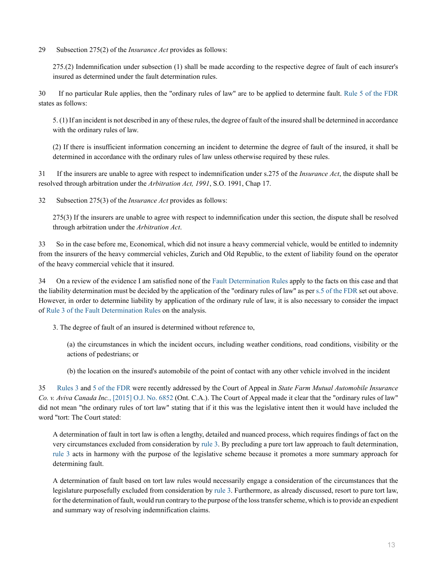29 Subsection 275(2) of the *Insurance Act* provides as follows:

275.(2) Indemnification under subsection (1) shall be made according to the respective degree of fault of each insurer's insured as determined under the fault determination rules.

30 If no particular Rule applies, then the "ordinary rules of law" are to be applied to determine fault. [Rule 5 of the FDR](http://nextcanada.westlaw.com/Link/Document/FullText?findType=Y&serNum=0302663617&pubNum=135385&originatingDoc=I60baee0665400c04e0540021280d7cce&refType=IG&docFamilyGuid=Idac0da64f8f811d99f28ffa0ae8c2575&targetPreference=DocLanguage%3aEN&originationContext=document&vr=3.0&rs=cblt1.0&transitionType=DocumentItem&contextData=(sc.Search)) states as follows:

5. (1) If an incident is not described in any of these rules, the degree of fault of the insured shall be determined in accordance with the ordinary rules of law.

(2) If there is insufficient information concerning an incident to determine the degree of fault of the insured, it shall be determined in accordance with the ordinary rules of law unless otherwise required by these rules.

31 If the insurers are unable to agree with respect to indemnification under s.275 of the *Insurance Act*, the dispute shall be resolved through arbitration under the *Arbitration Act, 1991*, S.O. 1991, Chap 17.

32 Subsection 275(3) of the *Insurance Act* provides as follows:

275(3) If the insurers are unable to agree with respect to indemnification under this section, the dispute shall be resolved through arbitration under the *Arbitration Act*.

33 So in the case before me, Economical, which did not insure a heavy commercial vehicle, would be entitled to indemnity from the insurers of the heavy commercial vehicles, Zurich and Old Republic, to the extent of liability found on the operator of the heavy commercial vehicle that it insured.

34 On a review of the evidence I am satisfied none of the [Fault Determination Rules](http://nextcanada.westlaw.com/Link/Document/FullText?findType=Y&serNum=0300791200&pubNum=135385&originatingDoc=I60baee0665400c04e0540021280d7cce&refType=IG&docFamilyGuid=Ifa824f8f2dda11e18b05fdf15589d8e8&targetPreference=DocLanguage%3aEN&originationContext=document&vr=3.0&rs=cblt1.0&transitionType=DocumentItem&contextData=(sc.Search)) apply to the facts on this case and that the liability determination must be decided by the application of the "ordinary rules of law" as per [s.5 of the FDR](http://nextcanada.westlaw.com/Link/Document/FullText?findType=Y&serNum=0302663617&pubNum=135385&originatingDoc=I60baee0665400c04e0540021280d7cce&refType=IG&docFamilyGuid=Idac0da64f8f811d99f28ffa0ae8c2575&targetPreference=DocLanguage%3aEN&originationContext=document&vr=3.0&rs=cblt1.0&transitionType=DocumentItem&contextData=(sc.Search)) set out above. However, in order to determine liability by application of the ordinary rule of law, it is also necessary to consider the impact of [Rule 3 of the Fault Determination Rules](http://nextcanada.westlaw.com/Link/Document/FullText?findType=Y&serNum=0302663615&pubNum=135385&originatingDoc=I60baee0665400c04e0540021280d7cce&refType=IG&docFamilyGuid=Idac0da62f8f811d99f28ffa0ae8c2575&targetPreference=DocLanguage%3aEN&originationContext=document&vr=3.0&rs=cblt1.0&transitionType=DocumentItem&contextData=(sc.Search)) on the analysis.

3. The degree of fault of an insured is determined without reference to,

(a) the circumstances in which the incident occurs, including weather conditions, road conditions, visibility or the actions of pedestrians; or

(b) the location on the insured's automobile of the point of contact with any other vehicle involved in the incident

35 [Rules 3](http://nextcanada.westlaw.com/Link/Document/FullText?findType=Y&serNum=0302663615&pubNum=135385&originatingDoc=I60baee0665400c04e0540021280d7cce&refType=IG&docFamilyGuid=Idac0da62f8f811d99f28ffa0ae8c2575&targetPreference=DocLanguage%3aEN&originationContext=document&vr=3.0&rs=cblt1.0&transitionType=DocumentItem&contextData=(sc.Search)) and [5 of the FDR](http://nextcanada.westlaw.com/Link/Document/FullText?findType=Y&serNum=0302663617&pubNum=135385&originatingDoc=I60baee0665400c04e0540021280d7cce&refType=IG&docFamilyGuid=Idac0da64f8f811d99f28ffa0ae8c2575&targetPreference=DocLanguage%3aEN&originationContext=document&vr=3.0&rs=cblt1.0&transitionType=DocumentItem&contextData=(sc.Search)) were recently addressed by the Court of Appeal in *State Farm Mutual Automobile Insurance Co. v. Aviva Canada Inc.*[, \[2015\] O.J. No. 6852](http://nextcanada.westlaw.com/Link/Document/FullText?findType=Y&pubNum=6407&serNum=2037870563&originationContext=document&transitionType=DocumentItem&vr=3.0&rs=cblt1.0&contextData=(sc.Search)) (Ont. C.A.). The Court of Appeal made it clear that the "ordinary rules of law" did not mean "the ordinary rules of tort law" stating that if it this was the legislative intent then it would have included the word "tort: The Court stated:

A determination of fault in tort law is often a lengthy, detailed and nuanced process, which requires findings of fact on the very circumstances excluded from consideration by [rule 3](http://nextcanada.westlaw.com/Link/Document/FullText?findType=Y&serNum=0302663615&pubNum=135385&originatingDoc=I60baee0665400c04e0540021280d7cce&refType=IG&docFamilyGuid=Idac0da62f8f811d99f28ffa0ae8c2575&targetPreference=DocLanguage%3aEN&originationContext=document&vr=3.0&rs=cblt1.0&transitionType=DocumentItem&contextData=(sc.Search)). By precluding a pure tort law approach to fault determination, [rule 3](http://nextcanada.westlaw.com/Link/Document/FullText?findType=Y&serNum=0302663615&pubNum=135385&originatingDoc=I60baee0665400c04e0540021280d7cce&refType=IG&docFamilyGuid=Idac0da62f8f811d99f28ffa0ae8c2575&targetPreference=DocLanguage%3aEN&originationContext=document&vr=3.0&rs=cblt1.0&transitionType=DocumentItem&contextData=(sc.Search)) acts in harmony with the purpose of the legislative scheme because it promotes a more summary approach for determining fault.

A determination of fault based on tort law rules would necessarily engage a consideration of the circumstances that the legislature purposefully excluded from consideration by [rule 3.](http://nextcanada.westlaw.com/Link/Document/FullText?findType=Y&serNum=0302663615&pubNum=135385&originatingDoc=I60baee0665400c04e0540021280d7cce&refType=IG&docFamilyGuid=Idac0da62f8f811d99f28ffa0ae8c2575&targetPreference=DocLanguage%3aEN&originationContext=document&vr=3.0&rs=cblt1.0&transitionType=DocumentItem&contextData=(sc.Search)) Furthermore, as already discussed, resort to pure tort law, for the determination of fault, would run contrary to the purpose of the loss transfer scheme, which is to provide an expedient and summary way of resolving indemnification claims.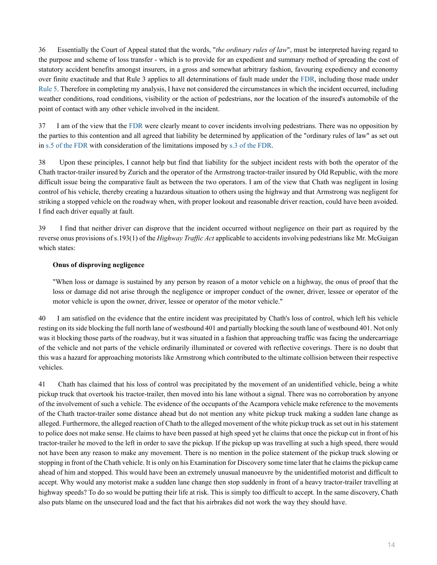36 Essentially the Court of Appeal stated that the words, "*the ordinary rules of law*", must be interpreted having regard to the purpose and scheme of loss transfer - which is to provide for an expedient and summary method of spreading the cost of statutory accident benefits amongst insurers, in a gross and somewhat arbitrary fashion, favouring expediency and economy over finite exactitude and that Rule 3 applies to all determinations of fault made under the [FDR,](http://nextcanada.westlaw.com/Link/Document/FullText?findType=Y&serNum=0300791200&pubNum=135385&originatingDoc=I60baee0665400c04e0540021280d7cce&refType=IG&docFamilyGuid=Ifa824f8f2dda11e18b05fdf15589d8e8&targetPreference=DocLanguage%3aEN&originationContext=document&vr=3.0&rs=cblt1.0&transitionType=DocumentItem&contextData=(sc.Search)) including those made under [Rule 5](http://nextcanada.westlaw.com/Link/Document/FullText?findType=Y&serNum=0302663617&pubNum=135385&originatingDoc=I60baee0665400c04e0540021280d7cce&refType=IG&docFamilyGuid=Idac0da64f8f811d99f28ffa0ae8c2575&targetPreference=DocLanguage%3aEN&originationContext=document&vr=3.0&rs=cblt1.0&transitionType=DocumentItem&contextData=(sc.Search)). Therefore in completing my analysis, I have not considered the circumstances in which the incident occurred, including weather conditions, road conditions, visibility or the action of pedestrians, nor the location of the insured's automobile of the point of contact with any other vehicle involved in the incident.

37 I am of the view that the [FDR](http://nextcanada.westlaw.com/Link/Document/FullText?findType=Y&serNum=0300791200&pubNum=135385&originatingDoc=I60baee0665400c04e0540021280d7cce&refType=IG&docFamilyGuid=Ifa824f8f2dda11e18b05fdf15589d8e8&targetPreference=DocLanguage%3aEN&originationContext=document&vr=3.0&rs=cblt1.0&transitionType=DocumentItem&contextData=(sc.Search)) were clearly meant to cover incidents involving pedestrians. There was no opposition by the parties to this contention and all agreed that liability be determined by application of the "ordinary rules of law" as set out in [s.5 of the FDR](http://nextcanada.westlaw.com/Link/Document/FullText?findType=Y&serNum=0302663617&pubNum=135385&originatingDoc=I60baee0665400c04e0540021280d7cce&refType=IG&docFamilyGuid=Idac0da64f8f811d99f28ffa0ae8c2575&targetPreference=DocLanguage%3aEN&originationContext=document&vr=3.0&rs=cblt1.0&transitionType=DocumentItem&contextData=(sc.Search)) with consideration of the limitations imposed by [s.3 of the FDR.](http://nextcanada.westlaw.com/Link/Document/FullText?findType=Y&serNum=0302663615&pubNum=135385&originatingDoc=I60baee0665400c04e0540021280d7cce&refType=IG&docFamilyGuid=Idac0da62f8f811d99f28ffa0ae8c2575&targetPreference=DocLanguage%3aEN&originationContext=document&vr=3.0&rs=cblt1.0&transitionType=DocumentItem&contextData=(sc.Search))

38 Upon these principles, I cannot help but find that liability for the subject incident rests with both the operator of the Chath tractor-trailer insured by Zurich and the operator of the Armstrong tractor-trailer insured by Old Republic, with the more difficult issue being the comparative fault as between the two operators. I am of the view that Chath was negligent in losing control of his vehicle, thereby creating a hazardous situation to others using the highway and that Armstrong was negligent for striking a stopped vehicle on the roadway when, with proper lookout and reasonable driver reaction, could have been avoided. I find each driver equally at fault.

39 I find that neither driver can disprove that the incident occurred without negligence on their part as required by the reverse onus provisions of s.193(1) of the *Highway Traffic Act* applicable to accidents involving pedestrians like Mr. McGuigan which states:

## **Onus of disproving negligence**

"When loss or damage is sustained by any person by reason of a motor vehicle on a highway, the onus of proof that the loss or damage did not arise through the negligence or improper conduct of the owner, driver, lessee or operator of the motor vehicle is upon the owner, driver, lessee or operator of the motor vehicle."

40 I am satisfied on the evidence that the entire incident was precipitated by Chath's loss of control, which left his vehicle resting on its side blocking the full north lane of westbound 401 and partially blocking the south lane of westbound 401. Not only was it blocking those parts of the roadway, but it was situated in a fashion that approaching traffic was facing the undercarriage of the vehicle and not parts of the vehicle ordinarily illuminated or covered with reflective coverings. There is no doubt that this was a hazard for approaching motorists like Armstrong which contributed to the ultimate collision between their respective vehicles.

41 Chath has claimed that his loss of control was precipitated by the movement of an unidentified vehicle, being a white pickup truck that overtook his tractor-trailer, then moved into his lane without a signal. There was no corroboration by anyone of the involvement of such a vehicle. The evidence of the occupants of the Acampora vehicle make reference to the movements of the Chath tractor-trailer some distance ahead but do not mention any white pickup truck making a sudden lane change as alleged. Furthermore, the alleged reaction of Chath to the alleged movement of the white pickup truck as set out in his statement to police does not make sense. He claims to have been passed at high speed yet he claims that once the pickup cut in front of his tractor-trailer he moved to the left in order to save the pickup. If the pickup up was travelling at such a high speed, there would not have been any reason to make any movement. There is no mention in the police statement of the pickup truck slowing or stopping in front of the Chath vehicle. It is only on his Examination for Discovery some time later that he claims the pickup came ahead of him and stopped. This would have been an extremely unusual manoeuvre by the unidentified motorist and difficult to accept. Why would any motorist make a sudden lane change then stop suddenly in front of a heavy tractor-trailer travelling at highway speeds? To do so would be putting their life at risk. This is simply too difficult to accept. In the same discovery, Chath also puts blame on the unsecured load and the fact that his airbrakes did not work the way they should have.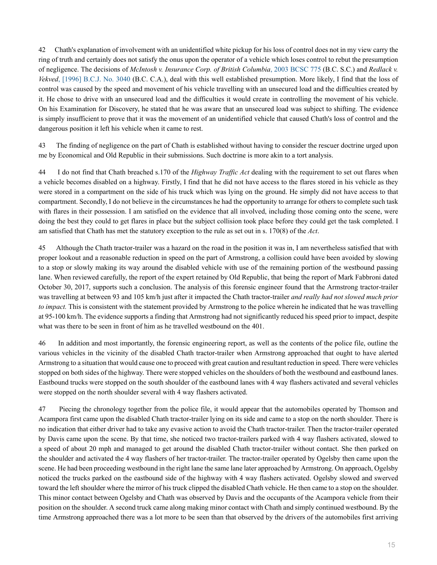42 Chath's explanation of involvement with an unidentified white pickup for his loss of control does not in my view carry the ring of truth and certainly does not satisfy the onus upon the operator of a vehicle which loses control to rebut the presumption of negligence. The decisions of *McIntosh v. Insurance Corp. of British Columbia*[, 2003 BCSC 775](http://nextcanada.westlaw.com/Link/Document/FullText?findType=Y&pubNum=6407&serNum=2003056455&originationContext=document&transitionType=DocumentItem&vr=3.0&rs=cblt1.0&contextData=(sc.Search)) (B.C. S.C.) and *Redlack v. Vekved*[, \[1996\] B.C.J. No. 3040](http://nextcanada.westlaw.com/Link/Document/FullText?findType=Y&pubNum=6407&serNum=1996443859&originationContext=document&transitionType=DocumentItem&vr=3.0&rs=cblt1.0&contextData=(sc.Search)) (B.C. C.A.), deal with this well established presumption. More likely, I find that the loss of control was caused by the speed and movement of his vehicle travelling with an unsecured load and the difficulties created by it. He chose to drive with an unsecured load and the difficulties it would create in controlling the movement of his vehicle. On his Examination for Discovery, he stated that he was aware that an unsecured load was subject to shifting. The evidence is simply insufficient to prove that it was the movement of an unidentified vehicle that caused Chath's loss of control and the dangerous position it left his vehicle when it came to rest.

43 The finding of negligence on the part of Chath is established without having to consider the rescuer doctrine urged upon me by Economical and Old Republic in their submissions. Such doctrine is more akin to a tort analysis.

44 I do not find that Chath breached s.170 of the *Highway Traffic Act* dealing with the requirement to set out flares when a vehicle becomes disabled on a highway. Firstly, I find that he did not have access to the flares stored in his vehicle as they were stored in a compartment on the side of his truck which was lying on the ground. He simply did not have access to that compartment. Secondly, I do not believe in the circumstances he had the opportunity to arrange for others to complete such task with flares in their possession. I am satisfied on the evidence that all involved, including those coming onto the scene, were doing the best they could to get flares in place but the subject collision took place before they could get the task completed. I am satisfied that Chath has met the statutory exception to the rule as set out in s. 170(8) of the *Act*.

45 Although the Chath tractor-trailer was a hazard on the road in the position it was in, I am nevertheless satisfied that with proper lookout and a reasonable reduction in speed on the part of Armstrong, a collision could have been avoided by slowing to a stop or slowly making its way around the disabled vehicle with use of the remaining portion of the westbound passing lane. When reviewed carefully, the report of the expert retained by Old Republic, that being the report of Mark Fabbroni dated October 30, 2017, supports such a conclusion. The analysis of this forensic engineer found that the Armstrong tractor-trailer was travelling at between 93 and 105 km/h just after it impacted the Chath tractor-trailer *and really had not slowed much prior to impact.* This is consistent with the statement provided by Armstrong to the police wherein he indicated that he was travelling at 95-100 km/h. The evidence supports a finding that Armstrong had not significantly reduced his speed prior to impact, despite what was there to be seen in front of him as he travelled westbound on the 401.

46 In addition and most importantly, the forensic engineering report, as well as the contents of the police file, outline the various vehicles in the vicinity of the disabled Chath tractor-trailer when Armstrong approached that ought to have alerted Armstrong to a situation that would cause one to proceed with great caution and resultant reduction in speed. There were vehicles stopped on both sides of the highway. There were stopped vehicles on the shoulders of both the westbound and eastbound lanes. Eastbound trucks were stopped on the south shoulder of the eastbound lanes with 4 way flashers activated and several vehicles were stopped on the north shoulder several with 4 way flashers activated.

47 Piecing the chronology together from the police file, it would appear that the automobiles operated by Thomson and Acampora first came upon the disabled Chath tractor-trailer lying on its side and came to a stop on the north shoulder. There is no indication that either driver had to take any evasive action to avoid the Chath tractor-trailer. Then the tractor-trailer operated by Davis came upon the scene. By that time, she noticed two tractor-trailers parked with 4 way flashers activated, slowed to a speed of about 20 mph and managed to get around the disabled Chath tractor-trailer without contact. She then parked on the shoulder and activated the 4 way flashers of her tractor-trailer. The tractor-trailer operated by Ogelsby then came upon the scene. He had been proceeding westbound in the right lane the same lane later approached by Armstrong. On approach, Ogelsby noticed the trucks parked on the eastbound side of the highway with 4 way flashers activated. Ogelsby slowed and swerved toward the left shoulder where the mirror of his truck clipped the disabled Chath vehicle. He then came to a stop on the shoulder. This minor contact between Ogelsby and Chath was observed by Davis and the occupants of the Acampora vehicle from their position on the shoulder. A second truck came along making minor contact with Chath and simply continued westbound. By the time Armstrong approached there was a lot more to be seen than that observed by the drivers of the automobiles first arriving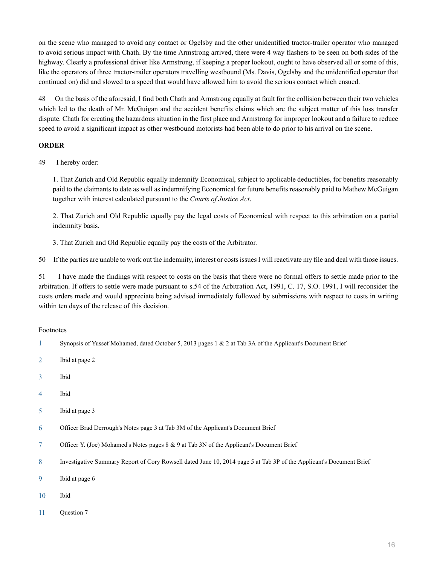on the scene who managed to avoid any contact or Ogelsby and the other unidentified tractor-trailer operator who managed to avoid serious impact with Chath. By the time Armstrong arrived, there were 4 way flashers to be seen on both sides of the highway. Clearly a professional driver like Armstrong, if keeping a proper lookout, ought to have observed all or some of this, like the operators of three tractor-trailer operators travelling westbound (Ms. Davis, Ogelsby and the unidentified operator that continued on) did and slowed to a speed that would have allowed him to avoid the serious contact which ensued.

48 On the basis of the aforesaid, I find both Chath and Armstrong equally at fault for the collision between their two vehicles which led to the death of Mr. McGuigan and the accident benefits claims which are the subject matter of this loss transfer dispute. Chath for creating the hazardous situation in the first place and Armstrong for improper lookout and a failure to reduce speed to avoid a significant impact as other westbound motorists had been able to do prior to his arrival on the scene.

## **ORDER**

49 I hereby order:

1. That Zurich and Old Republic equally indemnify Economical, subject to applicable deductibles, for benefits reasonably paid to the claimants to date as well as indemnifying Economical for future benefits reasonably paid to Mathew McGuigan together with interest calculated pursuant to the *Courts of Justice Act*.

2. That Zurich and Old Republic equally pay the legal costs of Economical with respect to this arbitration on a partial indemnity basis.

3. That Zurich and Old Republic equally pay the costs of the Arbitrator.

50 If the parties are unable to work out the indemnity, interest or costs issues I will reactivate my file and deal with those issues.

51 I have made the findings with respect to costs on the basis that there were no formal offers to settle made prior to the arbitration. If offers to settle were made pursuant to s.54 of the Arbitration Act, 1991, C. 17, S.O. 1991, I will reconsider the costs orders made and would appreciate being advised immediately followed by submissions with respect to costs in writing within ten days of the release of this decision.

### Footnotes

- <span id="page-15-0"></span>[1](#page-2-0) Synopsis of Yussef Mohamed, dated October 5, 2013 pages 1 & 2 at Tab 3A of the Applicant's Document Brief
- <span id="page-15-1"></span>[2](#page-2-1) Ibid at page 2
- <span id="page-15-2"></span>[3](#page-2-2) Ibid
- <span id="page-15-3"></span>[4](#page-2-3) Ibid
- <span id="page-15-4"></span>[5](#page-2-4) Ibid at page 3
- <span id="page-15-5"></span>[6](#page-4-0) Officer Brad Derrough's Notes page 3 at Tab 3M of the Applicant's Document Brief
- <span id="page-15-6"></span>[7](#page-4-1) Officer Y. (Joe) Mohamed's Notes pages 8 & 9 at Tab 3N of the Applicant's Document Brief
- <span id="page-15-7"></span>[8](#page-4-2) Investigative Summary Report of Cory Rowsell dated June 10, 2014 page 5 at Tab 3P of the Applicant's Document Brief
- <span id="page-15-8"></span>[9](#page-4-3) Ibid at page 6
- <span id="page-15-9"></span>[10](#page-4-4) Ibid
- <span id="page-15-10"></span>[11](#page-5-0) Question 7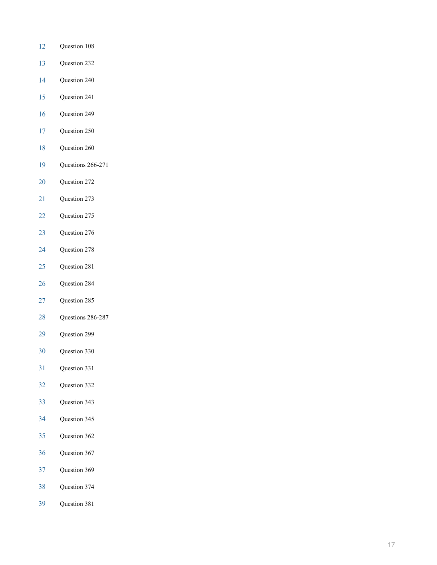- <span id="page-16-0"></span>Question 108
- <span id="page-16-1"></span>Question 232
- <span id="page-16-2"></span>Question 240
- <span id="page-16-3"></span>Question 241
- <span id="page-16-4"></span>Question 249
- <span id="page-16-5"></span>Question 250
- <span id="page-16-6"></span>Question 260
- <span id="page-16-7"></span>Questions 266-271
- <span id="page-16-8"></span>Question 272
- <span id="page-16-9"></span>Question 273
- <span id="page-16-10"></span>Question 275
- <span id="page-16-11"></span>Question 276
- <span id="page-16-12"></span>Question 278
- <span id="page-16-13"></span>Question 281
- <span id="page-16-14"></span>Question 284
- <span id="page-16-15"></span>Question 285
- <span id="page-16-16"></span>Questions 286-287
- <span id="page-16-17"></span>Question 299
- <span id="page-16-18"></span>Question 330
- <span id="page-16-19"></span>Question 331
- <span id="page-16-20"></span>Question 332
- <span id="page-16-21"></span>Question 343
- <span id="page-16-22"></span>Question 345
- <span id="page-16-23"></span>Question 362
- <span id="page-16-24"></span>Question 367
- <span id="page-16-25"></span>Question 369
- <span id="page-16-26"></span>Question 374
- <span id="page-16-27"></span>Question 381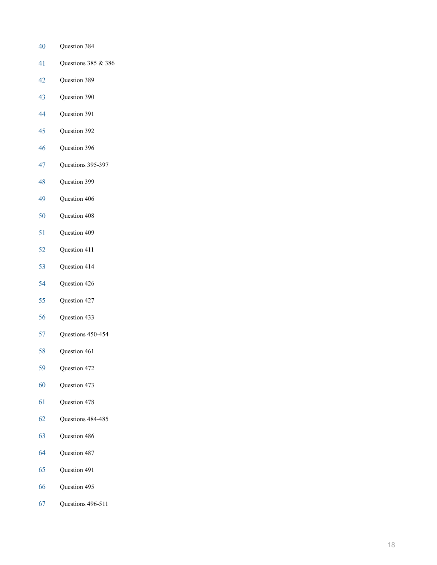- <span id="page-17-0"></span>Question 384
- <span id="page-17-1"></span>Questions 385 & 386
- <span id="page-17-2"></span>Question 389
- <span id="page-17-3"></span>Question 390
- <span id="page-17-4"></span>Question 391
- <span id="page-17-5"></span>Question 392
- <span id="page-17-6"></span>Question 396
- <span id="page-17-7"></span>Questions 395-397
- <span id="page-17-8"></span>Question 399
- <span id="page-17-9"></span>Question 406
- <span id="page-17-10"></span>Question 408
- <span id="page-17-11"></span>Question 409
- <span id="page-17-12"></span>Question 411
- <span id="page-17-13"></span>Question 414
- <span id="page-17-14"></span>Question 426
- <span id="page-17-15"></span>Question 427
- <span id="page-17-16"></span>Question 433
- <span id="page-17-17"></span>Questions 450-454
- <span id="page-17-18"></span>Question 461
- <span id="page-17-19"></span>Question 472
- <span id="page-17-20"></span>Question 473
- <span id="page-17-21"></span>Question 478
- <span id="page-17-22"></span>Questions 484-485
- <span id="page-17-23"></span>Question 486
- <span id="page-17-24"></span>Question 487
- <span id="page-17-25"></span>Question 491
- <span id="page-17-26"></span>Question 495
- <span id="page-17-27"></span>Questions 496-511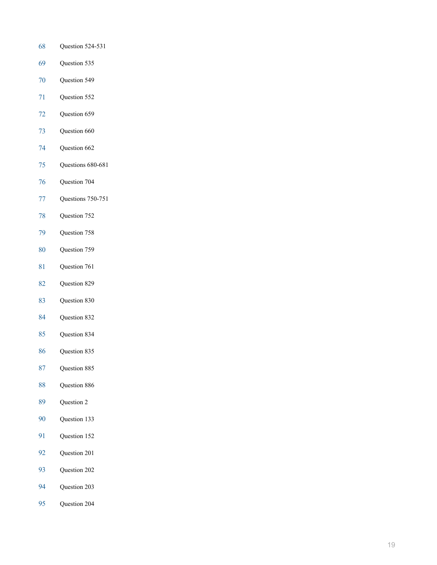- <span id="page-18-0"></span>Question 524-531
- <span id="page-18-1"></span>Question 535
- <span id="page-18-2"></span>Question 549
- <span id="page-18-3"></span>Question 552
- <span id="page-18-4"></span>Question 659
- <span id="page-18-5"></span>Question 660
- <span id="page-18-6"></span>Question 662
- <span id="page-18-7"></span>Questions 680-681
- <span id="page-18-8"></span>Question 704
- <span id="page-18-9"></span>Questions 750-751
- <span id="page-18-10"></span>Question 752
- <span id="page-18-11"></span>Question 758
- <span id="page-18-12"></span>Question 759
- <span id="page-18-13"></span>Question 761
- <span id="page-18-14"></span>Question 829
- <span id="page-18-15"></span>Question 830
- <span id="page-18-16"></span>Question 832
- <span id="page-18-17"></span>Question 834
- <span id="page-18-18"></span>Question 835
- <span id="page-18-19"></span>Question 885
- <span id="page-18-20"></span>Question 886
- <span id="page-18-21"></span>Question 2
- <span id="page-18-22"></span>Question 133
- <span id="page-18-23"></span>Question 152
- <span id="page-18-24"></span>Question 201
- <span id="page-18-25"></span>Question 202
- <span id="page-18-26"></span>Question 203
- <span id="page-18-27"></span>Question 204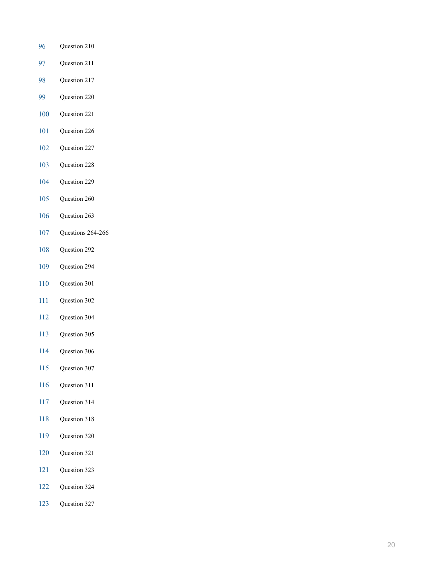- <span id="page-19-0"></span>Question 210
- <span id="page-19-1"></span>Question 211
- <span id="page-19-2"></span>Question 217
- <span id="page-19-3"></span>Question 220
- <span id="page-19-4"></span>Question 221
- <span id="page-19-5"></span>Question 226
- <span id="page-19-6"></span>Question 227
- <span id="page-19-7"></span>Question 228
- <span id="page-19-8"></span>Question 229
- <span id="page-19-9"></span>Question 260
- <span id="page-19-10"></span>Question 263
- <span id="page-19-11"></span>Questions 264-266
- <span id="page-19-12"></span>Question 292
- <span id="page-19-13"></span>Question 294
- <span id="page-19-14"></span>Question 301
- <span id="page-19-15"></span>Question 302
- <span id="page-19-16"></span>Question 304
- <span id="page-19-17"></span>Question 305
- <span id="page-19-18"></span>Question 306
- <span id="page-19-19"></span>Question 307
- <span id="page-19-20"></span>Question 311
- <span id="page-19-21"></span>Question 314
- <span id="page-19-22"></span>Question 318
- <span id="page-19-23"></span>Question 320
- <span id="page-19-24"></span>Question 321
- <span id="page-19-25"></span>Question 323
- <span id="page-19-26"></span>Question 324
- <span id="page-19-27"></span>Question 327